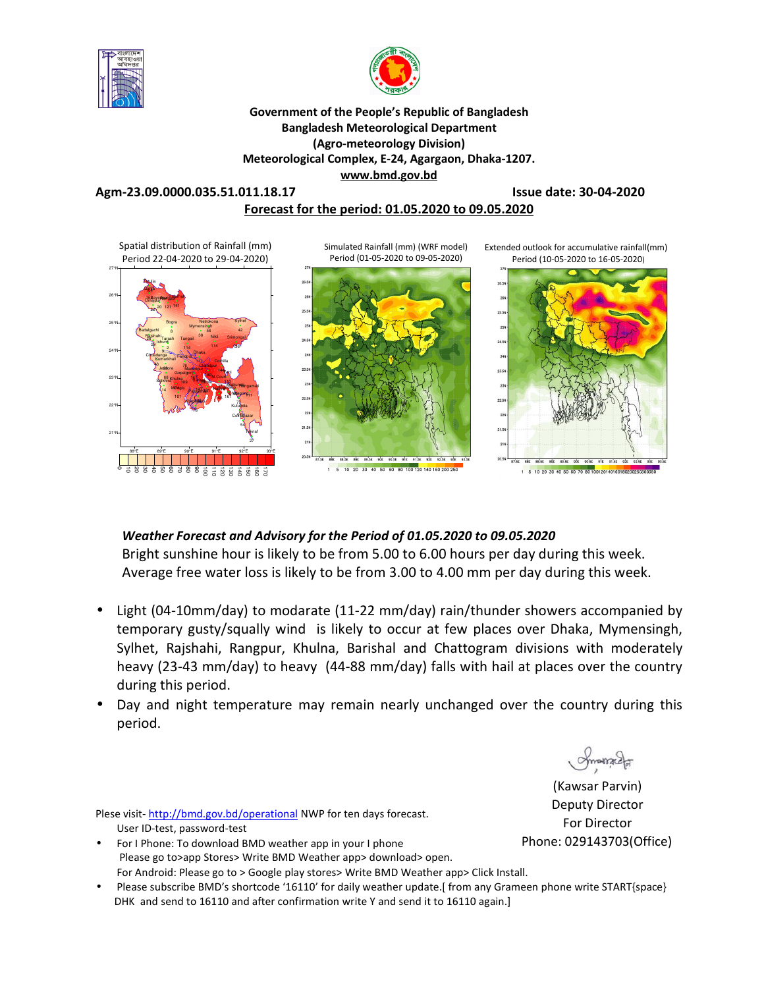



### **Government of the People's Republic of Bangladesh Bangladesh Meteorological Department (Agro-meteorology Division) Meteorological Complex, E-24, Agargaon, Dhaka-1207. www.bmd.gov.bd**

# **Agm-23.09.0000.035.51.011.18.17 Issue date: 30-04-2020**

### **Forecast for the period: 01.05.2020 to 09.05.2020**



# *Weather Forecast and Advisory for the Period of 01.05.2020 to 09.05.2020*

Bright sunshine hour is likely to be from 5.00 to 6.00 hours per day during this week. Average free water loss is likely to be from 3.00 to 4.00 mm per day during this week.

- Light (04-10mm/day) to modarate (11-22 mm/day) rain/thunder showers accompanied by temporary gusty/squally wind is likely to occur at few places over Dhaka, Mymensingh, Sylhet, Rajshahi, Rangpur, Khulna, Barishal and Chattogram divisions with moderately heavy (23-43 mm/day) to heavy (44-88 mm/day) falls with hail at places over the country during this period.
- Day and night temperature may remain nearly unchanged over the country during this period.

Plese visit-http://bmd.gov.bd/operational NWP for ten days forecast. User ID-test, password-test

- For I Phone: To download BMD weather app in your I phone Please go to>app Stores> Write BMD Weather app> download> open. For Android: Please go to > Google play stores> Write BMD Weather app> Click Install.
- Please subscribe BMD's shortcode '16110' for daily weather update.[ from any Grameen phone write START{space} DHK and send to 16110 and after confirmation write Y and send it to 16110 again.]

Smanach

(Kawsar Parvin) Deputy Director For Director Phone: 029143703(Office)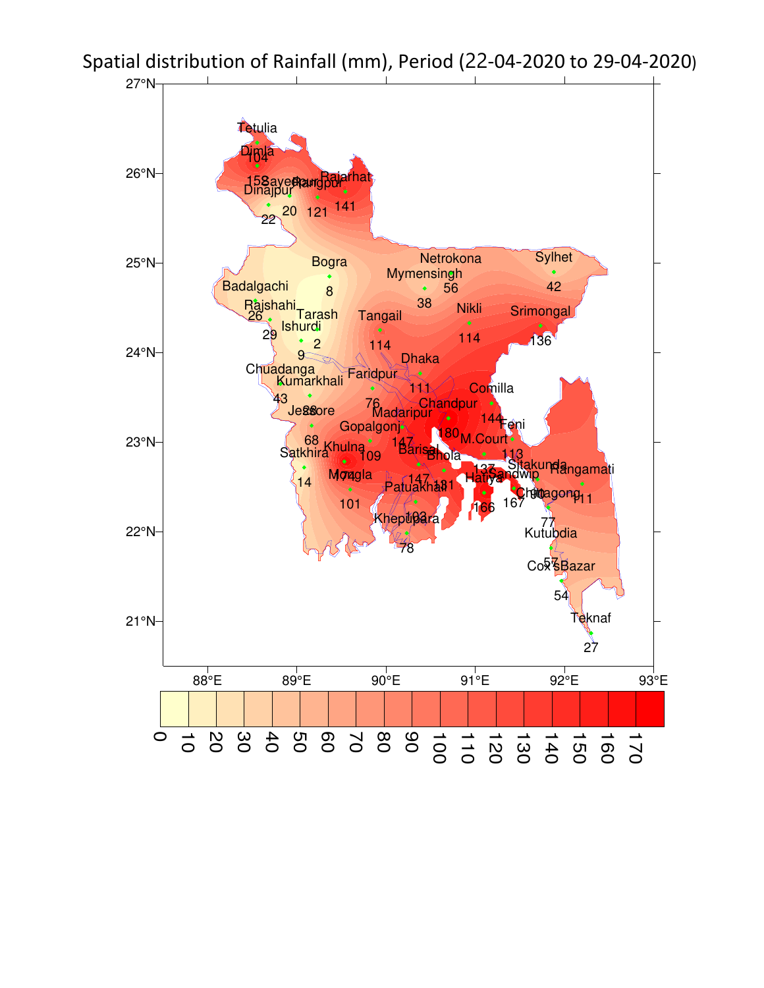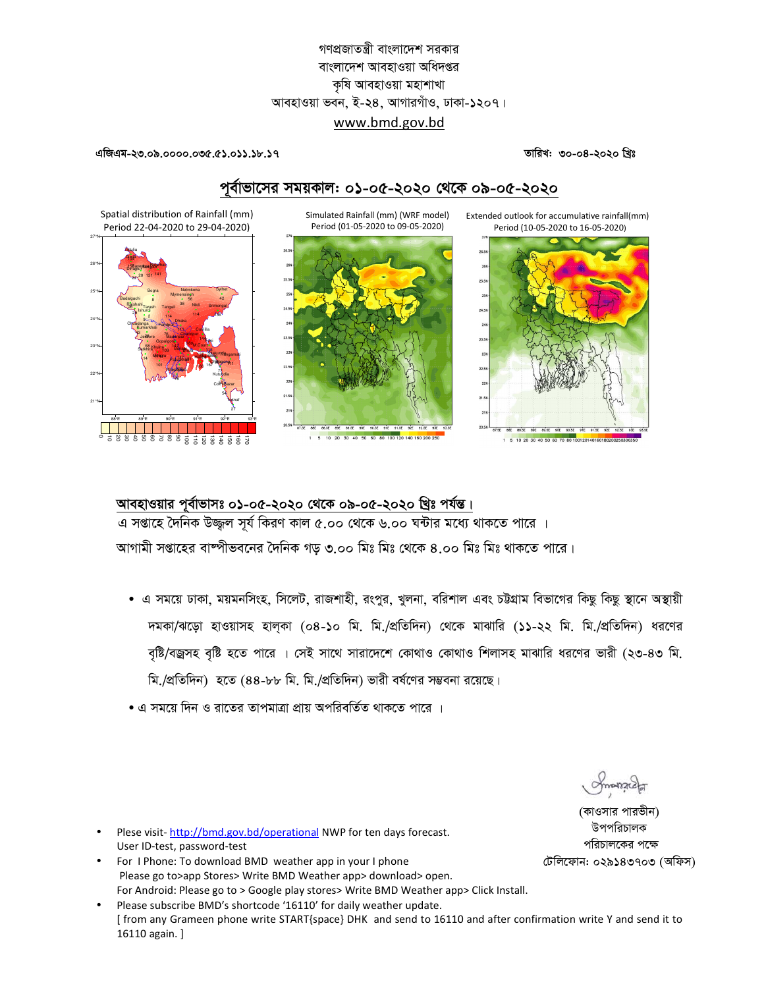# গণপ্রজাতন্ত্রী বাংলাদেশ সরকার বাংলাদেশ আবহাওয়া অধিদপ্তর কৃষি আবহাওয়া মহাশাখা আবহাওয়া ভবন, ই-২৪, আগারগাঁও, ঢাকা-১২০৭। www.bmd.gov.bd

#### তারিখ: ৩০-০৪-২০২০ খ্রিঃ

এজিএম-২৩.০৯.০০০০.০৩৫.৫১.০১১.১৮.১৭

# পূর্বাভাসের সময়কাল: ০১-০৫-২০২০ থেকে ০৯-০৫-২০২০

Simulated Rainfall (mm) (WRF model) Period (01-05-2020 to 09-05-2020)





Extended outlook for accumulative rainfall(mm)

Spatial distribution of Rainfall (mm) Period 22-04-2020 to 29-04-2020)



# আবহাওয়ার পূর্বাভাসঃ ০১-০৫-২০২০ থেকে ০৯-০৫-২০২০ খ্রিঃ পর্যন্ত।

এ সপ্তাহে দৈনিক উজ্জুল সূর্য কিরণ কাল ৫.০০ থেকে ৬.০০ ঘন্টার মধ্যে থাকতে পারে । আগামী সপ্তাহের বাম্পীভবনের দৈনিক গড় ৩.০০ মিঃ মিঃ থেকে ৪.০০ মিঃ মিঃ থাকতে পারে।

- এ সময়ে ঢাকা, ময়মনসিংহ, সিলেট, রাজশাহী, রংপুর, খুলনা, বরিশাল এবং চট্টগ্রাম বিভাগের কিছু কিছু স্থানে অস্থায়ী দমকা/ঝড়ো হাওয়াসহ হাল্কা (০৪-১০ মি. মি./প্রতিদিন) থেকে মাঝারি (১১-২২ মি. মি./প্রতিদিন) ধরণের বৃষ্টি/বজ্রসহ বৃষ্টি হতে পারে । সেই সাথে সারাদেশে কোথাও কোথাও শিলাসহ মাঝারি ধরণের ভারী (২৩-৪৩ মি. মি./প্রতিদিন) হতে (৪৪-৮৮ মি. মি./প্রতিদিন) ভারী বর্ষণের সম্ভবনা রয়েছে।
- এ সময়ে দিন ও রাতের তাপমাত্রা প্রায় অপরিবর্তিত থাকতে পারে ।

ommada

(কাওসার পারভীন) উপপরিচালক পরিচালকের পক্ষে টেলিফোন: ০২৯১৪৩৭০৩ (অফিস)

- Plese visit-http://bmd.gov.bd/operational NWP for ten days forecast. User ID-test, password-test
- For I Phone: To download BMD weather app in your I phone Please go to>app Stores> Write BMD Weather app> download> open. For Android: Please go to > Google play stores> Write BMD Weather app> Click Install.
- Please subscribe BMD's shortcode '16110' for daily weather update. [ from any Grameen phone write START{space} DHK and send to 16110 and after confirmation write Y and send it to 16110 again. ]